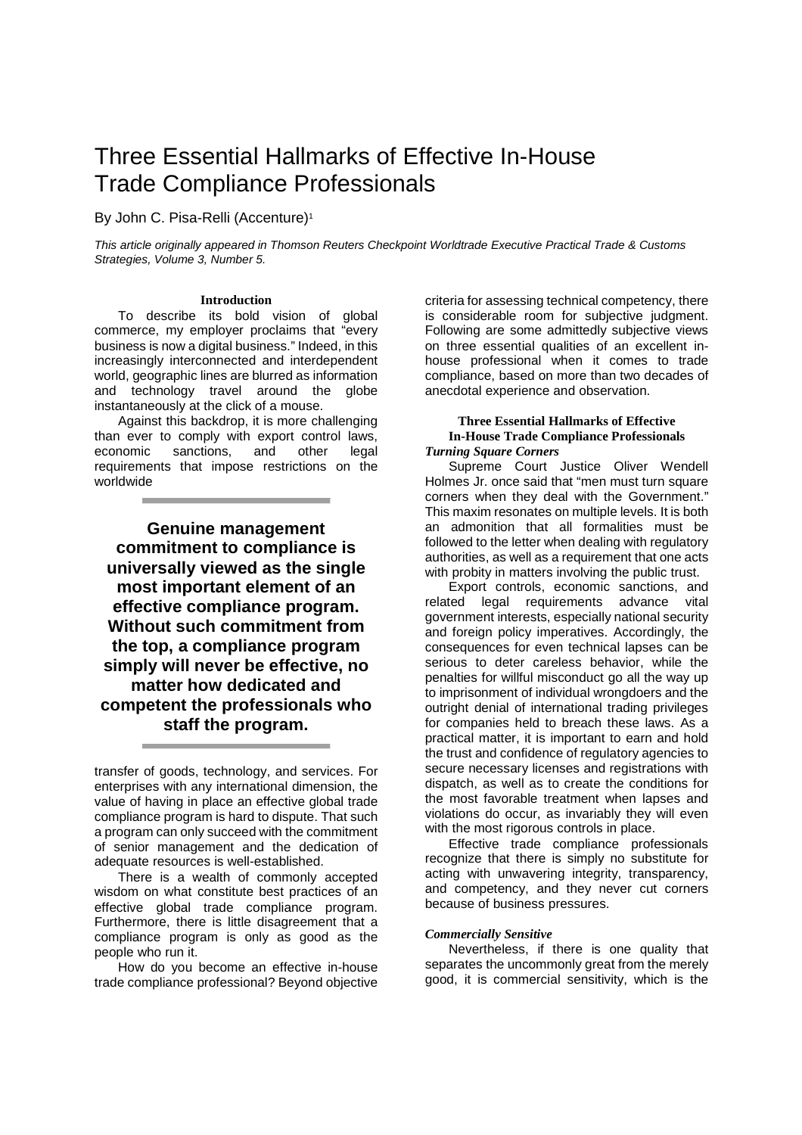# Three Essential Hallmarks of Effective In-House Trade Compliance Professionals

By John C. Pisa-Relli (Accenture)<sup>1</sup>

This article originally appeared in Thomson Reuters Checkpoint Worldtrade Executive Practical Trade & Customs Strategies, Volume 3, Number 5.

#### **Introduction**

To describe its bold vision of global commerce, my employer proclaims that "every business is now a digital business." Indeed, in this increasingly interconnected and interdependent world, geographic lines are blurred as information and technology travel around the globe instantaneously at the click of a mouse.

Against this backdrop, it is more challenging than ever to comply with export control laws, economic sanctions, and other legal requirements that impose restrictions on the worldwide

**Genuine management commitment to compliance is universally viewed as the single most important element of an effective compliance program. Without such commitment from the top, a compliance program simply will never be effective, no matter how dedicated and competent the professionals who staff the program.** 

transfer of goods, technology, and services. For enterprises with any international dimension, the value of having in place an effective global trade compliance program is hard to dispute. That such a program can only succeed with the commitment of senior management and the dedication of adequate resources is well-established.

There is a wealth of commonly accepted wisdom on what constitute best practices of an effective global trade compliance program. Furthermore, there is little disagreement that a compliance program is only as good as the people who run it.

How do you become an effective in-house trade compliance professional? Beyond objective

criteria for assessing technical competency, there is considerable room for subjective judgment. Following are some admittedly subjective views on three essential qualities of an excellent inhouse professional when it comes to trade compliance, based on more than two decades of anecdotal experience and observation.

#### **Three Essential Hallmarks of Effective In-House Trade Compliance Professionals**  *Turning Square Corners*

Supreme Court Justice Oliver Wendell Holmes Jr. once said that "men must turn square corners when they deal with the Government." This maxim resonates on multiple levels. It is both an admonition that all formalities must be followed to the letter when dealing with regulatory authorities, as well as a requirement that one acts with probity in matters involving the public trust.

Export controls, economic sanctions, and related legal requirements advance vital government interests, especially national security and foreign policy imperatives. Accordingly, the consequences for even technical lapses can be serious to deter careless behavior, while the penalties for willful misconduct go all the way up to imprisonment of individual wrongdoers and the outright denial of international trading privileges for companies held to breach these laws. As a practical matter, it is important to earn and hold the trust and confidence of regulatory agencies to secure necessary licenses and registrations with dispatch, as well as to create the conditions for the most favorable treatment when lapses and violations do occur, as invariably they will even with the most rigorous controls in place.

Effective trade compliance professionals recognize that there is simply no substitute for acting with unwavering integrity, transparency, and competency, and they never cut corners because of business pressures.

#### *Commercially Sensitive*

Nevertheless, if there is one quality that separates the uncommonly great from the merely good, it is commercial sensitivity, which is the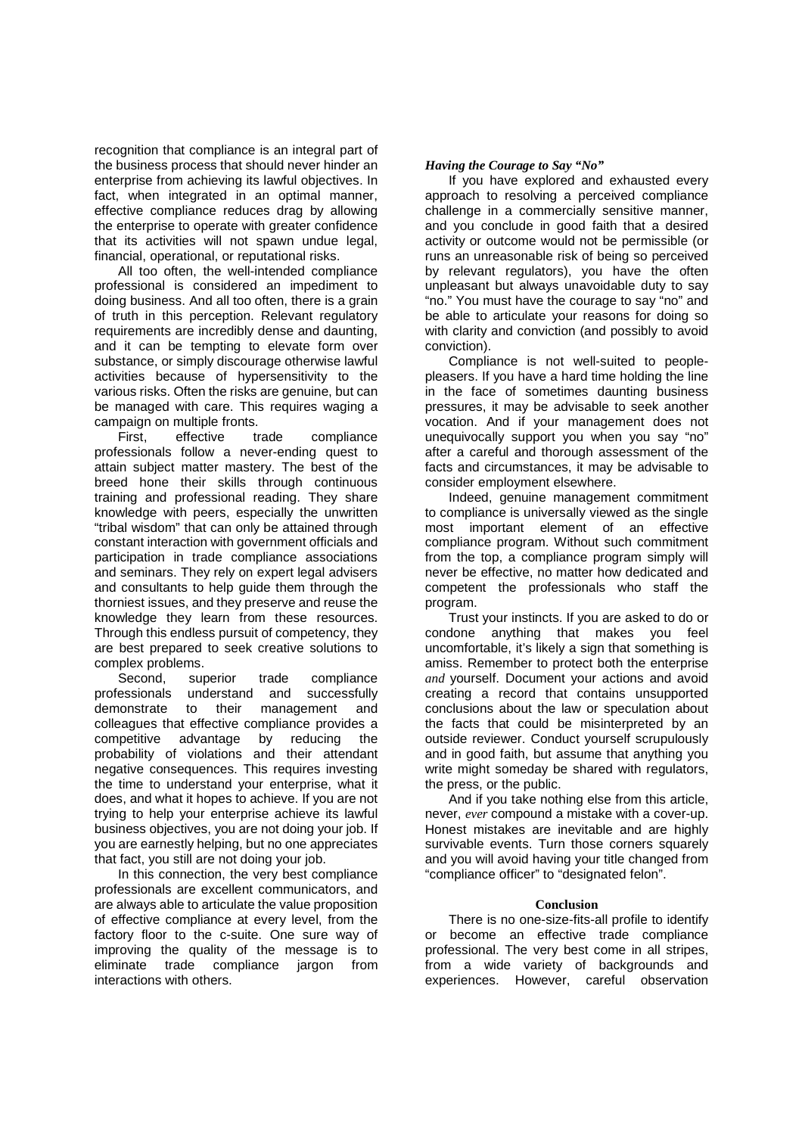recognition that compliance is an integral part of the business process that should never hinder an enterprise from achieving its lawful objectives. In fact, when integrated in an optimal manner, effective compliance reduces drag by allowing the enterprise to operate with greater confidence that its activities will not spawn undue legal, financial, operational, or reputational risks.

All too often, the well-intended compliance professional is considered an impediment to doing business. And all too often, there is a grain of truth in this perception. Relevant regulatory requirements are incredibly dense and daunting, and it can be tempting to elevate form over substance, or simply discourage otherwise lawful activities because of hypersensitivity to the various risks. Often the risks are genuine, but can be managed with care. This requires waging a campaign on multiple fronts.

First, effective trade compliance professionals follow a never-ending quest to attain subject matter mastery. The best of the breed hone their skills through continuous training and professional reading. They share knowledge with peers, especially the unwritten "tribal wisdom" that can only be attained through constant interaction with government officials and participation in trade compliance associations and seminars. They rely on expert legal advisers and consultants to help guide them through the thorniest issues, and they preserve and reuse the knowledge they learn from these resources. Through this endless pursuit of competency, they are best prepared to seek creative solutions to complex problems.

Second, superior trade compliance professionals understand and successfully demonstrate to their management and colleagues that effective compliance provides a competitive advantage by reducing the probability of violations and their attendant negative consequences. This requires investing the time to understand your enterprise, what it does, and what it hopes to achieve. If you are not trying to help your enterprise achieve its lawful business objectives, you are not doing your job. If you are earnestly helping, but no one appreciates that fact, you still are not doing your job.

In this connection, the very best compliance professionals are excellent communicators, and are always able to articulate the value proposition of effective compliance at every level, from the factory floor to the c-suite. One sure way of improving the quality of the message is to eliminate trade compliance jargon from interactions with others.

## *Having the Courage to Say "No"*

If you have explored and exhausted every approach to resolving a perceived compliance challenge in a commercially sensitive manner, and you conclude in good faith that a desired activity or outcome would not be permissible (or runs an unreasonable risk of being so perceived by relevant regulators), you have the often unpleasant but always unavoidable duty to say "no." You must have the courage to say "no" and be able to articulate your reasons for doing so with clarity and conviction (and possibly to avoid conviction).

Compliance is not well-suited to peoplepleasers. If you have a hard time holding the line in the face of sometimes daunting business pressures, it may be advisable to seek another vocation. And if your management does not unequivocally support you when you say "no" after a careful and thorough assessment of the facts and circumstances, it may be advisable to consider employment elsewhere.

Indeed, genuine management commitment to compliance is universally viewed as the single most important element of an effective compliance program. Without such commitment from the top, a compliance program simply will never be effective, no matter how dedicated and competent the professionals who staff the program.

Trust your instincts. If you are asked to do or condone anything that makes you feel uncomfortable, it's likely a sign that something is amiss. Remember to protect both the enterprise *and* yourself. Document your actions and avoid creating a record that contains unsupported conclusions about the law or speculation about the facts that could be misinterpreted by an outside reviewer. Conduct yourself scrupulously and in good faith, but assume that anything you write might someday be shared with regulators, the press, or the public.

And if you take nothing else from this article, never, *ever* compound a mistake with a cover-up. Honest mistakes are inevitable and are highly survivable events. Turn those corners squarely and you will avoid having your title changed from "compliance officer" to "designated felon".

### **Conclusion**

There is no one-size-fits-all profile to identify or become an effective trade compliance professional. The very best come in all stripes, from a wide variety of backgrounds and experiences. However, careful observation